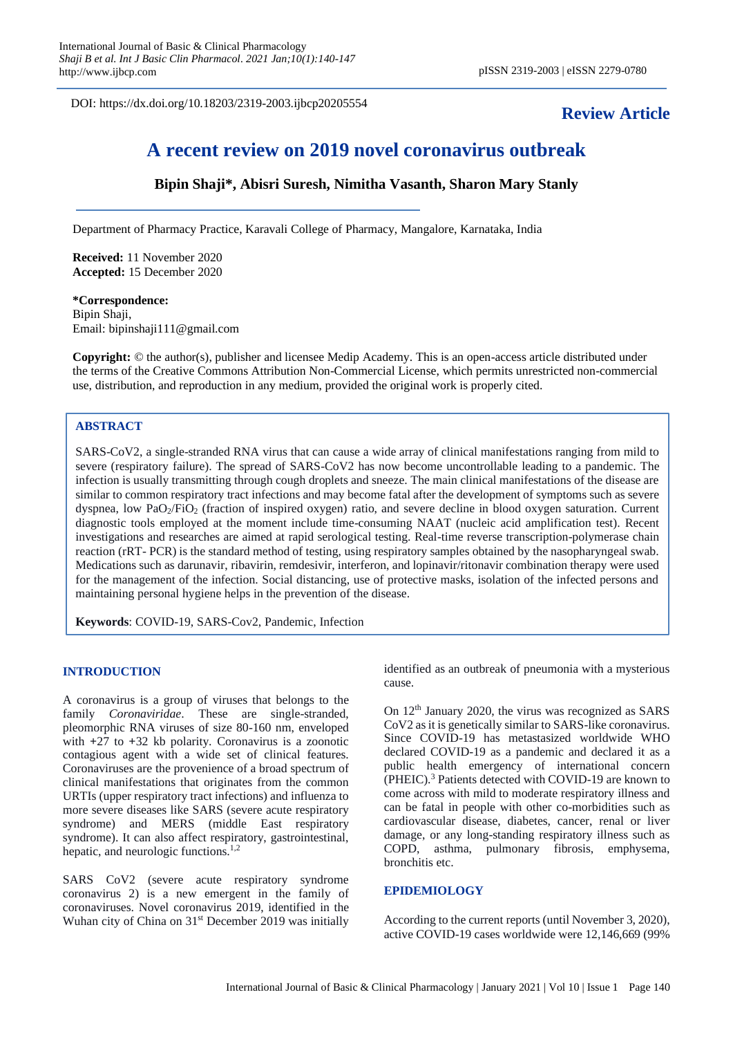DOI: https://dx.doi.org/10.18203/2319-2003.ijbcp20205554

## **Review Article**

# **A recent review on 2019 novel coronavirus outbreak**

**Bipin Shaji\*, Abisri Suresh, Nimitha Vasanth, Sharon Mary Stanly**

Department of Pharmacy Practice, Karavali College of Pharmacy, Mangalore, Karnataka, India

**Received:** 11 November 2020 **Accepted:** 15 December 2020

**\*Correspondence:** Bipin Shaji, Email: bipinshaji111@gmail.com

**Copyright:** © the author(s), publisher and licensee Medip Academy. This is an open-access article distributed under the terms of the Creative Commons Attribution Non-Commercial License, which permits unrestricted non-commercial use, distribution, and reproduction in any medium, provided the original work is properly cited.

## **ABSTRACT**

SARS-CoV2, a single-stranded RNA virus that can cause a wide array of clinical manifestations ranging from mild to severe (respiratory failure). The spread of SARS-CoV2 has now become uncontrollable leading to a pandemic. The infection is usually transmitting through cough droplets and sneeze. The main clinical manifestations of the disease are similar to common respiratory tract infections and may become fatal after the development of symptoms such as severe dyspnea, low PaO<sub>2</sub>/FiO<sub>2</sub> (fraction of inspired oxygen) ratio, and severe decline in blood oxygen saturation. Current diagnostic tools employed at the moment include time-consuming NAAT (nucleic acid amplification test). Recent investigations and researches are aimed at rapid serological testing. Real-time reverse transcription-polymerase chain reaction (rRT- PCR) is the standard method of testing, using respiratory samples obtained by the nasopharyngeal swab. Medications such as darunavir, ribavirin, remdesivir, interferon, and lopinavir/ritonavir combination therapy were used for the management of the infection. Social distancing, use of protective masks, isolation of the infected persons and maintaining personal hygiene helps in the prevention of the disease.

**Keywords**: COVID-19, SARS-Cov2, Pandemic, Infection

## **INTRODUCTION**

A coronavirus is a group of viruses that belongs to the family *Coronaviridae*. These are single-stranded, pleomorphic RNA viruses of size 80-160 nm, enveloped with **+**27 to **+**32 kb polarity. Coronavirus is a zoonotic contagious agent with a wide set of clinical features. Coronaviruses are the provenience of a broad spectrum of clinical manifestations that originates from the common URTIs (upper respiratory tract infections) and influenza to more severe diseases like SARS (severe acute respiratory syndrome) and MERS (middle East respiratory syndrome). It can also affect respiratory, gastrointestinal, hepatic, and neurologic functions. $1,2$ 

SARS CoV2 (severe acute respiratory syndrome coronavirus 2) is a new emergent in the family of coronaviruses. Novel coronavirus 2019, identified in the Wuhan city of China on 31<sup>st</sup> December 2019 was initially identified as an outbreak of pneumonia with a mysterious cause.

On  $12<sup>th</sup>$  January 2020, the virus was recognized as SARS CoV2 as it is genetically similar to SARS-like coronavirus. Since COVID-19 has metastasized worldwide WHO declared COVID-19 as a pandemic and declared it as a public health emergency of international concern (PHEIC).<sup>3</sup> Patients detected with COVID-19 are known to come across with mild to moderate respiratory illness and can be fatal in people with other co-morbidities such as cardiovascular disease, diabetes, cancer, renal or liver damage, or any long-standing respiratory illness such as COPD, asthma, pulmonary fibrosis, emphysema, bronchitis etc.

#### **EPIDEMIOLOGY**

According to the current reports (until November 3, 2020), active COVID-19 cases worldwide were 12,146,669 (99%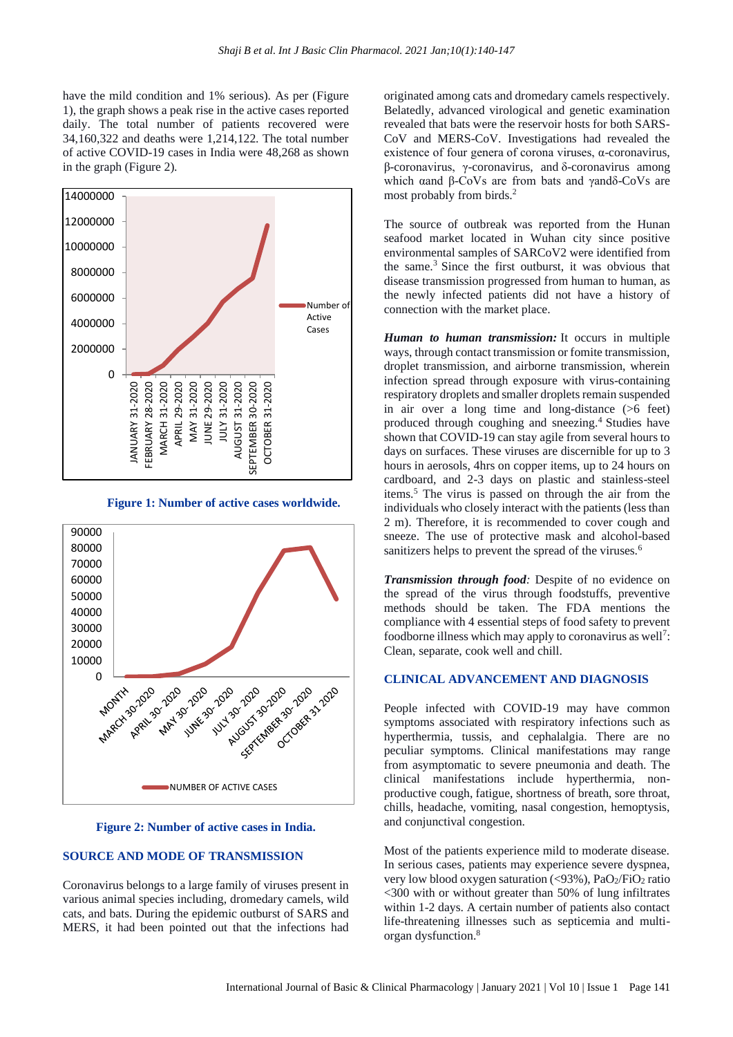have the mild condition and 1% serious). As per (Figure 1), the graph shows a peak rise in the active cases reported daily. The total number of patients recovered were 34,160,322 and deaths were 1,214,122. The total number of active COVID-19 cases in India were 48,268 as shown in the graph (Figure 2).



**Figure 1: Number of active cases worldwide.**



**Figure 2: Number of active cases in India.**

## **SOURCE AND MODE OF TRANSMISSION**

Coronavirus belongs to a large family of viruses present in various animal species including, dromedary camels, wild cats, and bats. During the epidemic outburst of SARS and MERS, it had been pointed out that the infections had originated among cats and dromedary camels respectively. Belatedly, advanced virological and genetic examination revealed that bats were the reservoir hosts for both SARS-CoV and MERS-CoV. Investigations had revealed the existence of four genera of corona viruses, α-coronavirus, β-coronavirus, γ-coronavirus, and δ-coronavirus among which αand β-CoVs are from bats and γandδ-CoVs are most probably from birds.<sup>2</sup>

The source of outbreak was reported from the Hunan seafood market located in Wuhan city since positive environmental samples of SARCoV2 were identified from the same. $3$  Since the first outburst, it was obvious that disease transmission progressed from human to human, as the newly infected patients did not have a history of connection with the market place.

*Human to human transmission:* It occurs in multiple ways, through contact transmission or fomite transmission, droplet transmission, and airborne transmission, wherein infection spread through exposure with virus-containing respiratory droplets and smaller droplets remain suspended in air over a long time and long-distance (>6 feet) produced through coughing and sneezing.<sup>4</sup> Studies have shown that COVID-19 can stay agile from several hours to days on surfaces. These viruses are discernible for up to 3 hours in aerosols, 4hrs on copper items, up to 24 hours on cardboard, and 2-3 days on plastic and stainless-steel items.<sup>5</sup> The virus is passed on through the air from the individuals who closely interact with the patients (less than 2 m). Therefore, it is recommended to cover cough and sneeze. The use of protective mask and alcohol-based sanitizers helps to prevent the spread of the viruses.<sup>6</sup>

*Transmission through food:* Despite of no evidence on the spread of the virus through foodstuffs, preventive methods should be taken. The FDA mentions the compliance with 4 essential steps of food safety to prevent foodborne illness which may apply to coronavirus as well<sup>7</sup>: Clean, separate, cook well and chill.

#### **CLINICAL ADVANCEMENT AND DIAGNOSIS**

People infected with COVID-19 may have common symptoms associated with respiratory infections such as hyperthermia, tussis, and cephalalgia. There are no peculiar symptoms. Clinical manifestations may range from asymptomatic to severe pneumonia and death. The clinical manifestations include hyperthermia, nonproductive cough, fatigue, shortness of breath, sore throat, chills, headache, vomiting, nasal congestion, hemoptysis, and conjunctival congestion.

Most of the patients experience mild to moderate disease. In serious cases, patients may experience severe dyspnea, very low blood oxygen saturation  $\langle \langle 93\% \rangle$ , PaO<sub>2</sub>/FiO<sub>2</sub> ratio <300 with or without greater than 50% of lung infiltrates within 1-2 days. A certain number of patients also contact life-threatening illnesses such as septicemia and multiorgan dysfunction.<sup>8</sup>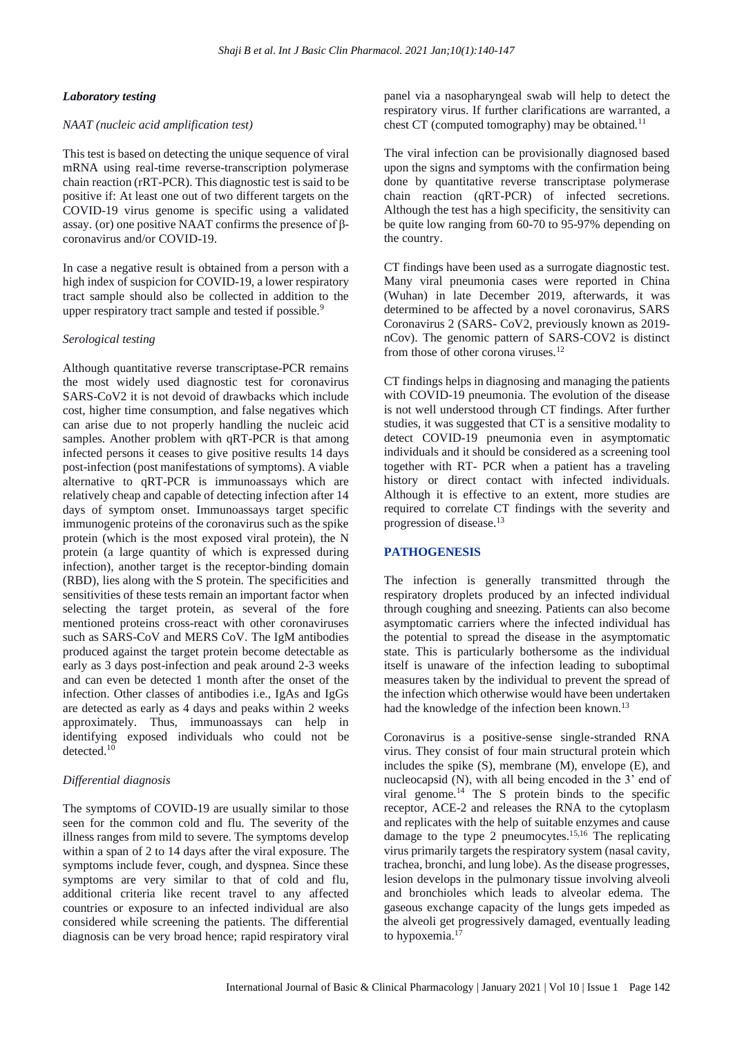#### *Laboratory testing*

#### *NAAT (nucleic acid amplification test)*

This test is based on detecting the unique sequence of viral mRNA using real-time reverse-transcription polymerase chain reaction (rRT-PCR). This diagnostic test is said to be positive if: At least one out of two different targets on the COVID-19 virus genome is specific using a validated assay. (or) one positive NAAT confirms the presence of βcoronavirus and/or COVID-19.

In case a negative result is obtained from a person with a high index of suspicion for COVID-19, a lower respiratory tract sample should also be collected in addition to the upper respiratory tract sample and tested if possible.<sup>9</sup>

#### *Serological testing*

Although quantitative reverse transcriptase-PCR remains the most widely used diagnostic test for coronavirus SARS-CoV2 it is not devoid of drawbacks which include cost, higher time consumption, and false negatives which can arise due to not properly handling the nucleic acid samples. Another problem with qRT-PCR is that among infected persons it ceases to give positive results 14 days post-infection (post manifestations of symptoms). A viable alternative to qRT-PCR is immunoassays which are relatively cheap and capable of detecting infection after 14 days of symptom onset. Immunoassays target specific immunogenic proteins of the coronavirus such as the spike protein (which is the most exposed viral protein), the N protein (a large quantity of which is expressed during infection), another target is the receptor-binding domain (RBD), lies along with the S protein. The specificities and sensitivities of these tests remain an important factor when selecting the target protein, as several of the fore mentioned proteins cross-react with other coronaviruses such as SARS-CoV and MERS CoV. The IgM antibodies produced against the target protein become detectable as early as 3 days post-infection and peak around 2-3 weeks and can even be detected 1 month after the onset of the infection. Other classes of antibodies i.e., IgAs and IgGs are detected as early as 4 days and peaks within 2 weeks approximately. Thus, immunoassays can help in identifying exposed individuals who could not be detected.<sup>10</sup>

## *Differential diagnosis*

The symptoms of COVID-19 are usually similar to those seen for the common cold and flu. The severity of the illness ranges from mild to severe. The symptoms develop within a span of 2 to 14 days after the viral exposure. The symptoms include fever, cough, and dyspnea. Since these symptoms are very similar to that of cold and flu, additional criteria like recent travel to any affected countries or exposure to an infected individual are also considered while screening the patients. The differential diagnosis can be very broad hence; rapid respiratory viral panel via a nasopharyngeal swab will help to detect the respiratory virus. If further clarifications are warranted, a chest CT (computed tomography) may be obtained.<sup>11</sup>

The viral infection can be provisionally diagnosed based upon the signs and symptoms with the confirmation being done by quantitative reverse transcriptase polymerase chain reaction (qRT-PCR) of infected secretions. Although the test has a high specificity, the sensitivity can be quite low ranging from 60-70 to 95-97% depending on the country.

CT findings have been used as a surrogate diagnostic test. Many viral pneumonia cases were reported in China (Wuhan) in late December 2019, afterwards, it was determined to be affected by a novel coronavirus, SARS Coronavirus 2 (SARS- CoV2, previously known as 2019 nCov). The genomic pattern of SARS-COV2 is distinct from those of other corona viruses.<sup>12</sup>

CT findings helps in diagnosing and managing the patients with COVID-19 pneumonia. The evolution of the disease is not well understood through CT findings. After further studies, it was suggested that CT is a sensitive modality to detect COVID-19 pneumonia even in asymptomatic individuals and it should be considered as a screening tool together with RT- PCR when a patient has a traveling history or direct contact with infected individuals. Although it is effective to an extent, more studies are required to correlate CT findings with the severity and progression of disease. 13

#### **PATHOGENESIS**

The infection is generally transmitted through the respiratory droplets produced by an infected individual through coughing and sneezing. Patients can also become asymptomatic carriers where the infected individual has the potential to spread the disease in the asymptomatic state. This is particularly bothersome as the individual itself is unaware of the infection leading to suboptimal measures taken by the individual to prevent the spread of the infection which otherwise would have been undertaken had the knowledge of the infection been known.<sup>13</sup>

Coronavirus is a positive-sense single-stranded RNA virus. They consist of four main structural protein which includes the spike (S), membrane (M), envelope (E), and nucleocapsid (N), with all being encoded in the 3' end of viral genome.<sup>14</sup> The S protein binds to the specific receptor, ACE-2 and releases the RNA to the cytoplasm and replicates with the help of suitable enzymes and cause damage to the type 2 pneumocytes.15,16 The replicating virus primarily targets the respiratory system (nasal cavity, trachea, bronchi, and lung lobe). As the disease progresses, lesion develops in the pulmonary tissue involving alveoli and bronchioles which leads to alveolar edema. The gaseous exchange capacity of the lungs gets impeded as the alveoli get progressively damaged, eventually leading to hypoxemia.<sup>17</sup>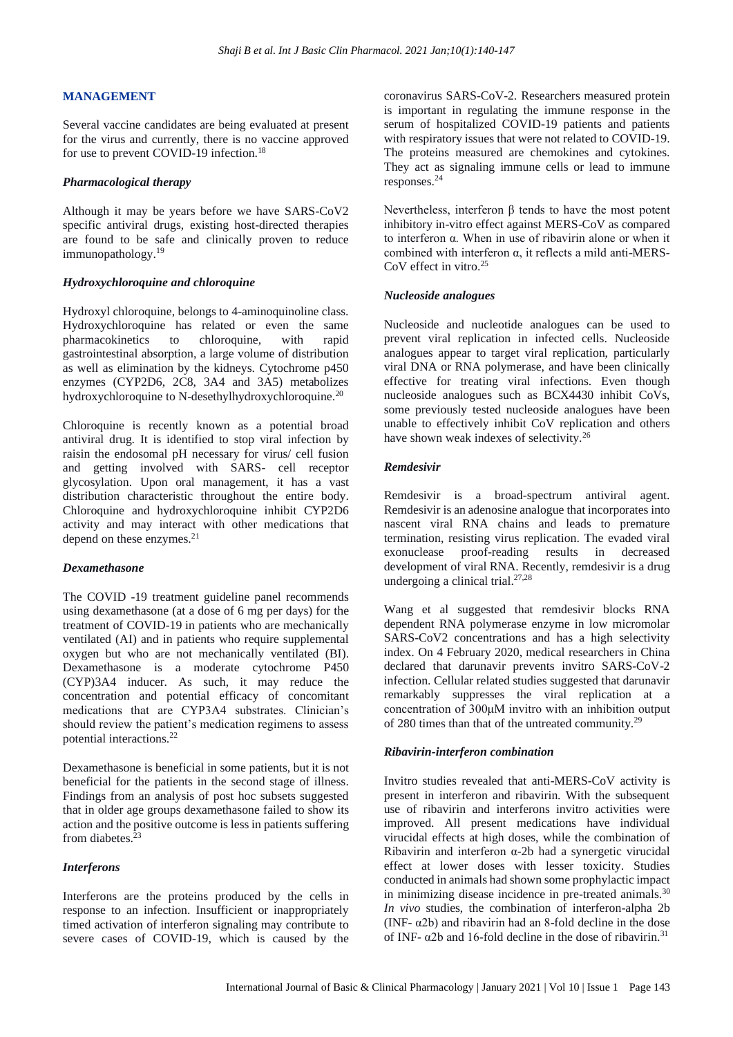## **MANAGEMENT**

Several vaccine candidates are being evaluated at present for the virus and currently, there is no vaccine approved for use to prevent COVID-19 infection.<sup>18</sup>

#### *Pharmacological therapy*

Although it may be years before we have SARS-CoV2 specific antiviral drugs, existing host-directed therapies are found to be safe and clinically proven to reduce immunopathology.<sup>19</sup>

## *Hydroxychloroquine and chloroquine*

Hydroxyl chloroquine, belongs to 4-aminoquinoline class. Hydroxychloroquine has related or even the same pharmacokinetics to chloroquine, with rapid gastrointestinal absorption, a large volume of distribution as well as elimination by the kidneys. Cytochrome p450 enzymes (CYP2D6, 2C8, 3A4 and 3A5) metabolizes hydroxychloroquine to N-desethylhydroxychloroquine.<sup>20</sup>

Chloroquine is recently known as a potential broad antiviral drug. It is identified to stop viral infection by raisin the endosomal pH necessary for virus/ cell fusion and getting involved with SARS- cell receptor glycosylation. Upon oral management, it has a vast distribution characteristic throughout the entire body. Chloroquine and hydroxychloroquine inhibit CYP2D6 activity and may interact with other medications that depend on these enzymes.<sup>21</sup>

#### *Dexamethasone*

The COVID -19 treatment guideline panel recommends using dexamethasone (at a dose of 6 mg per days) for the treatment of COVID-19 in patients who are mechanically ventilated (AI) and in patients who require supplemental oxygen but who are not mechanically ventilated (BI). Dexamethasone is a moderate cytochrome P450 (CYP)3A4 inducer. As such, it may reduce the concentration and potential efficacy of concomitant medications that are CYP3A4 substrates. Clinician's should review the patient's medication regimens to assess potential interactions.<sup>22</sup>

Dexamethasone is beneficial in some patients, but it is not beneficial for the patients in the second stage of illness. Findings from an analysis of post hoc subsets suggested that in older age groups dexamethasone failed to show its action and the positive outcome is less in patients suffering from diabetes.<sup>23</sup>

## *Interferons*

Interferons are the proteins produced by the cells in response to an infection. Insufficient or inappropriately timed activation of interferon signaling may contribute to severe cases of COVID-19, which is caused by the coronavirus SARS-CoV-2. Researchers measured protein is important in regulating the immune response in the serum of hospitalized COVID-19 patients and patients with respiratory issues that were not related to COVID-19. The proteins measured are chemokines and cytokines. They act as signaling immune cells or lead to immune responses.<sup>24</sup>

Nevertheless, interferon β tends to have the most potent inhibitory in-vitro effect against MERS-CoV as compared to interferon α. When in use of ribavirin alone or when it combined with interferon α, it reflects a mild anti-MERS-CoV effect in vitro.<sup>25</sup>

## *Nucleoside analogues*

Nucleoside and nucleotide analogues can be used to prevent viral replication in infected cells. Nucleoside analogues appear to target viral replication, particularly viral DNA or RNA polymerase, and have been clinically effective for treating viral infections. Even though nucleoside analogues such as BCX4430 inhibit CoVs, some previously tested nucleoside analogues have been unable to effectively inhibit CoV replication and others have shown weak indexes of selectivity.<sup>26</sup>

## *Remdesivir*

Remdesivir is a broad-spectrum antiviral agent. Remdesivir is an adenosine analogue that incorporates into nascent viral RNA chains and leads to premature termination, resisting virus replication. The evaded viral exonuclease proof-reading results in decreased development of viral RNA. Recently, remdesivir is a drug undergoing a clinical trial. $27,28$ 

Wang et al suggested that remdesivir blocks RNA dependent RNA polymerase enzyme in low micromolar SARS-CoV2 concentrations and has a high selectivity index. On 4 February 2020, medical researchers in China declared that darunavir prevents invitro SARS-CoV-2 infection. Cellular related studies suggested that darunavir remarkably suppresses the viral replication at a concentration of 300μM invitro with an inhibition output of 280 times than that of the untreated community.<sup>29</sup>

## *Ribavirin-interferon combination*

Invitro studies revealed that anti-MERS-CoV activity is present in interferon and ribavirin. With the subsequent use of ribavirin and interferons invitro activities were improved. All present medications have individual virucidal effects at high doses, while the combination of Ribavirin and interferon α-2b had a synergetic virucidal effect at lower doses with lesser toxicity. Studies conducted in animals had shown some prophylactic impact in minimizing disease incidence in pre-treated animals.<sup>30</sup> *In vivo* studies, the combination of interferon-alpha 2b (INF- $\alpha$ 2b) and ribavirin had an 8-fold decline in the dose of INF- $\alpha$ 2b and 16-fold decline in the dose of ribavirin.<sup>31</sup>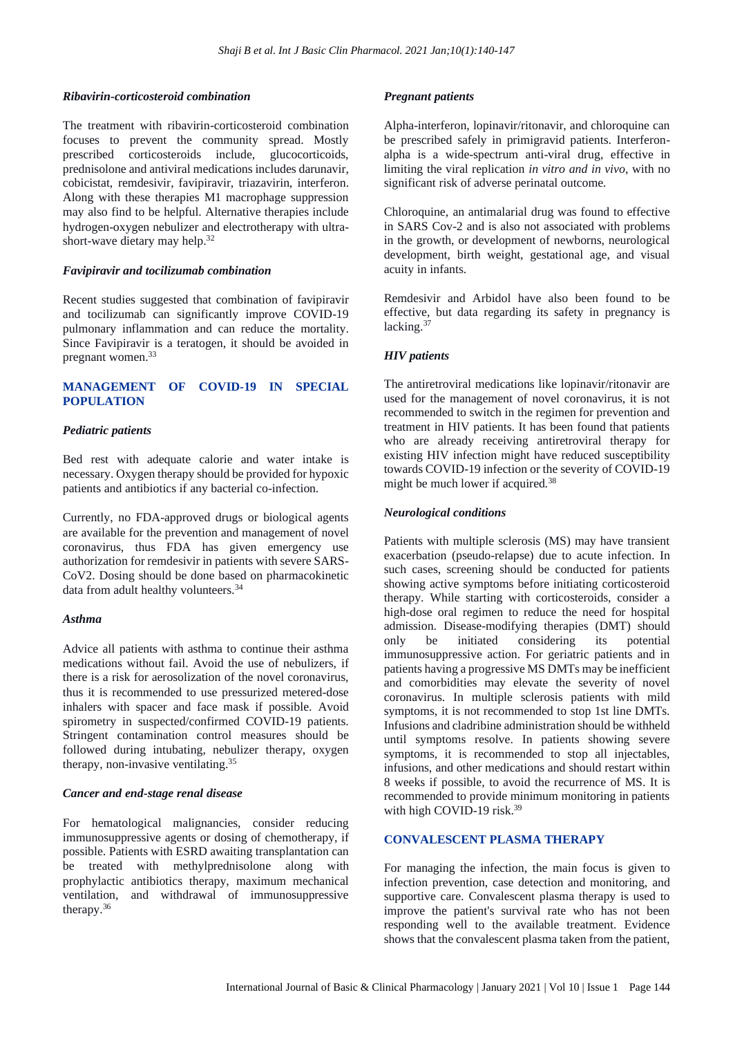## *Ribavirin-corticosteroid combination*

The treatment with ribavirin-corticosteroid combination focuses to prevent the community spread. Mostly prescribed corticosteroids include, glucocorticoids, prednisolone and antiviral medications includes darunavir, cobicistat, remdesivir, favipiravir, triazavirin, interferon. Along with these therapies M1 macrophage suppression may also find to be helpful. Alternative therapies include hydrogen-oxygen nebulizer and electrotherapy with ultrashort-wave dietary may help.<sup>32</sup>

#### *Favipiravir and tocilizumab combination*

Recent studies suggested that combination of favipiravir and tocilizumab can significantly improve COVID-19 pulmonary inflammation and can reduce the mortality. Since Favipiravir is a teratogen, it should be avoided in pregnant women.<sup>33</sup>

## **MANAGEMENT OF COVID-19 IN SPECIAL POPULATION**

## *Pediatric patients*

Bed rest with adequate calorie and water intake is necessary. Oxygen therapy should be provided for hypoxic patients and antibiotics if any bacterial co-infection.

Currently, no FDA-approved drugs or biological agents are available for the prevention and management of novel coronavirus, thus FDA has given emergency use authorization for remdesivir in patients with severe SARS-CoV2. Dosing should be done based on pharmacokinetic data from adult healthy volunteers.<sup>34</sup>

## *Asthma*

Advice all patients with asthma to continue their asthma medications without fail. Avoid the use of nebulizers, if there is a risk for aerosolization of the novel coronavirus, thus it is recommended to use pressurized metered-dose inhalers with spacer and face mask if possible. Avoid spirometry in suspected/confirmed COVID-19 patients. Stringent contamination control measures should be followed during intubating, nebulizer therapy, oxygen therapy, non-invasive ventilating.<sup>35</sup>

#### *Cancer and end-stage renal disease*

For hematological malignancies, consider reducing immunosuppressive agents or dosing of chemotherapy, if possible. Patients with ESRD awaiting transplantation can be treated with methylprednisolone along with prophylactic antibiotics therapy, maximum mechanical ventilation, and withdrawal of immunosuppressive therapy.<sup>36</sup>

## *Pregnant patients*

Alpha-interferon, lopinavir/ritonavir, and chloroquine can be prescribed safely in primigravid patients. Interferonalpha is a wide-spectrum anti-viral drug, effective in limiting the viral replication *in vitro and in vivo*, with no significant risk of adverse perinatal outcome.

Chloroquine, an antimalarial drug was found to effective in SARS Cov-2 and is also not associated with problems in the growth, or development of newborns, neurological development, birth weight, gestational age, and visual acuity in infants.

Remdesivir and Arbidol have also been found to be effective, but data regarding its safety in pregnancy is lacking.<sup>37</sup>

## *HIV patients*

The antiretroviral medications like lopinavir/ritonavir are used for the management of novel coronavirus, it is not recommended to switch in the regimen for prevention and treatment in HIV patients. It has been found that patients who are already receiving antiretroviral therapy for existing HIV infection might have reduced susceptibility towards COVID-19 infection or the severity of COVID-19 might be much lower if acquired.<sup>38</sup>

## *Neurological conditions*

Patients with multiple sclerosis (MS) may have transient exacerbation (pseudo-relapse) due to acute infection. In such cases, screening should be conducted for patients showing active symptoms before initiating corticosteroid therapy. While starting with corticosteroids, consider a high-dose oral regimen to reduce the need for hospital admission. Disease-modifying therapies (DMT) should only be initiated considering its potential immunosuppressive action. For geriatric patients and in patients having a progressive MS DMTs may be inefficient and comorbidities may elevate the severity of novel coronavirus. In multiple sclerosis patients with mild symptoms, it is not recommended to stop 1st line DMTs. Infusions and cladribine administration should be withheld until symptoms resolve. In patients showing severe symptoms, it is recommended to stop all injectables, infusions, and other medications and should restart within 8 weeks if possible, to avoid the recurrence of MS. It is recommended to provide minimum monitoring in patients with high COVID-19 risk.<sup>39</sup>

#### **CONVALESCENT PLASMA THERAPY**

For managing the infection, the main focus is given to infection prevention, case detection and monitoring, and supportive care. Convalescent plasma therapy is used to improve the patient's survival rate who has not been responding well to the available treatment. Evidence shows that the convalescent plasma taken from the patient,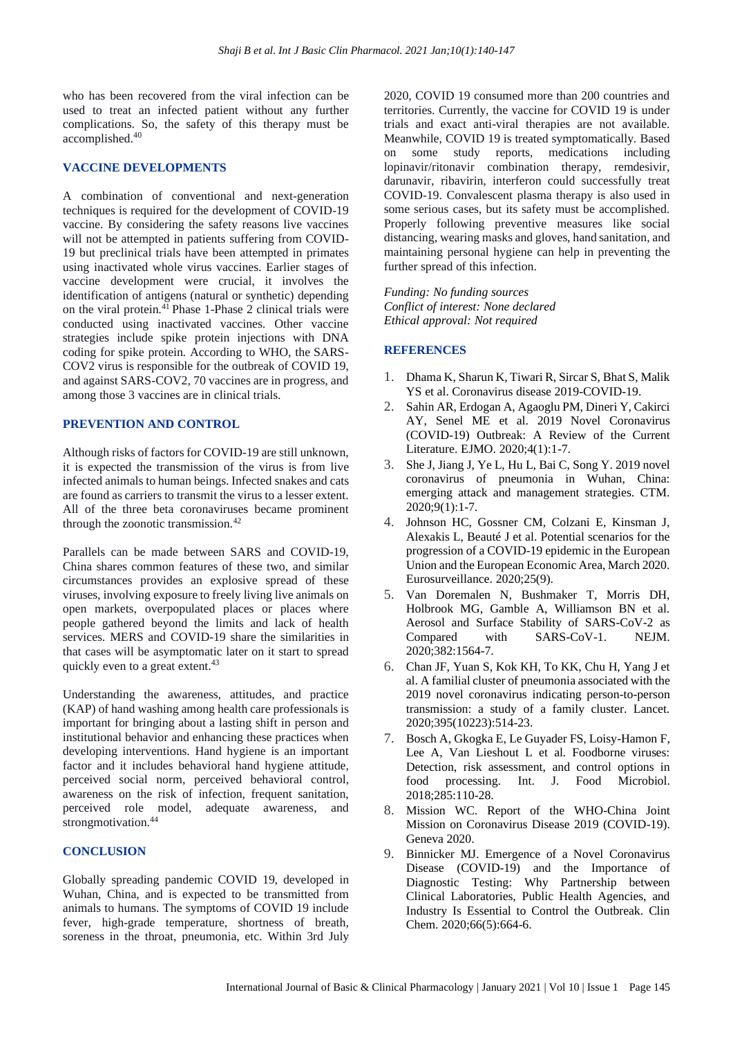who has been recovered from the viral infection can be used to treat an infected patient without any further complications. So, the safety of this therapy must be accomplished.<sup>40</sup>

#### **VACCINE DEVELOPMENTS**

A combination of conventional and next-generation techniques is required for the development of COVID-19 vaccine. By considering the safety reasons live vaccines will not be attempted in patients suffering from COVID-19 but preclinical trials have been attempted in primates using inactivated whole virus vaccines. Earlier stages of vaccine development were crucial, it involves the identification of antigens (natural or synthetic) depending on the viral protein.<sup>41</sup> Phase 1-Phase 2 clinical trials were conducted using inactivated vaccines. Other vaccine strategies include spike protein injections with DNA coding for spike protein. According to WHO, the SARS-COV2 virus is responsible for the outbreak of COVID 19, and against SARS-COV2, 70 vaccines are in progress, and among those 3 vaccines are in clinical trials.

#### **PREVENTION AND CONTROL**

Although risks of factors for COVID-19 are still unknown, it is expected the transmission of the virus is from live infected animals to human beings. Infected snakes and cats are found as carriers to transmit the virus to a lesser extent. All of the three beta coronaviruses became prominent through the zoonotic transmission.<sup>42</sup>

Parallels can be made between SARS and COVID-19, China shares common features of these two, and similar circumstances provides an explosive spread of these viruses, involving exposure to freely living live animals on open markets, overpopulated places or places where people gathered beyond the limits and lack of health services. MERS and COVID-19 share the similarities in that cases will be asymptomatic later on it start to spread quickly even to a great extent.<sup>43</sup>

Understanding the awareness, attitudes, and practice (KAP) of hand washing among health care professionals is important for bringing about a lasting shift in person and institutional behavior and enhancing these practices when developing interventions. Hand hygiene is an important factor and it includes behavioral hand hygiene attitude, perceived social norm, perceived behavioral control, awareness on the risk of infection, frequent sanitation, perceived role model, adequate awareness, and strongmotivation.<sup>44</sup>

#### **CONCLUSION**

Globally spreading pandemic COVID 19, developed in Wuhan, China, and is expected to be transmitted from animals to humans. The symptoms of COVID 19 include fever, high-grade temperature, shortness of breath, soreness in the throat, pneumonia, etc. Within 3rd July 2020, COVID 19 consumed more than 200 countries and territories. Currently, the vaccine for COVID 19 is under trials and exact anti-viral therapies are not available. Meanwhile, COVID 19 is treated symptomatically. Based on some study reports, medications including lopinavir/ritonavir combination therapy, remdesivir, darunavir, ribavirin, interferon could successfully treat COVID-19. Convalescent plasma therapy is also used in some serious cases, but its safety must be accomplished. Properly following preventive measures like social distancing, wearing masks and gloves, hand sanitation, and maintaining personal hygiene can help in preventing the further spread of this infection.

*Funding: No funding sources Conflict of interest: None declared Ethical approval: Not required*

## **REFERENCES**

- 1. Dhama K, Sharun K, Tiwari R, Sircar S, Bhat S, Malik YS et al. Coronavirus disease 2019-COVID-19.
- 2. Sahin AR, Erdogan A, Agaoglu PM, Dineri Y, Cakirci AY, Senel ME et al. 2019 Novel Coronavirus (COVID-19) Outbreak: A Review of the Current Literature. EJMO. 2020;4(1):1-7.
- 3. She J, Jiang J, Ye L, Hu L, Bai C, Song Y. 2019 novel coronavirus of pneumonia in Wuhan, China: emerging attack and management strategies. CTM. 2020;9(1):1-7.
- 4. Johnson HC, Gossner CM, Colzani E, Kinsman J, Alexakis L, Beauté J et al. Potential scenarios for the progression of a COVID-19 epidemic in the European Union and the European Economic Area, March 2020. Eurosurveillance. 2020;25(9).
- 5. Van Doremalen N, Bushmaker T, Morris DH, Holbrook MG, Gamble A, Williamson BN et al. Aerosol and Surface Stability of SARS-CoV-2 as Compared with SARS-CoV-1. NEJM. 2020;382:1564-7.
- 6. Chan JF, Yuan S, Kok KH, To KK, Chu H, Yang J et al. A familial cluster of pneumonia associated with the 2019 novel coronavirus indicating person-to-person transmission: a study of a family cluster. Lancet. 2020;395(10223):514-23.
- 7. Bosch A, Gkogka E, Le Guyader FS, Loisy-Hamon F, Lee A, Van Lieshout L et al. Foodborne viruses: Detection, risk assessment, and control options in food processing. Int. J. Food Microbiol. 2018;285:110-28.
- 8. Mission WC. Report of the WHO-China Joint Mission on Coronavirus Disease 2019 (COVID-19). Geneva 2020.
- 9. Binnicker MJ. Emergence of a Novel Coronavirus Disease (COVID-19) and the Importance of Diagnostic Testing: Why Partnership between Clinical Laboratories, Public Health Agencies, and Industry Is Essential to Control the Outbreak. Clin Chem. 2020;66(5):664-6.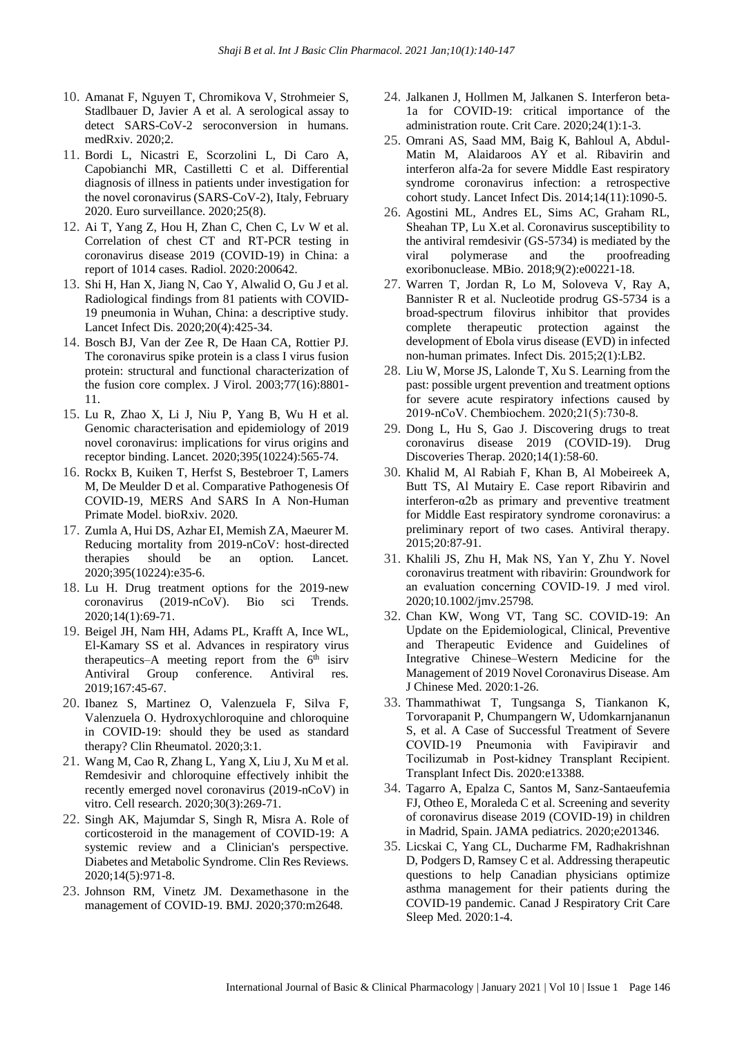- 10. Amanat F, Nguyen T, Chromikova V, Strohmeier S, Stadlbauer D, Javier A et al. A serological assay to detect SARS-CoV-2 seroconversion in humans. medRxiv. 2020;2.
- 11. Bordi L, Nicastri E, Scorzolini L, Di Caro A, Capobianchi MR, Castilletti C et al. Differential diagnosis of illness in patients under investigation for the novel coronavirus (SARS-CoV-2), Italy, February 2020. Euro surveillance. 2020;25(8).
- 12. Ai T, Yang Z, Hou H, Zhan C, Chen C, Lv W et al. Correlation of chest CT and RT-PCR testing in coronavirus disease 2019 (COVID-19) in China: a report of 1014 cases. Radiol. 2020:200642.
- 13. Shi H, Han X, Jiang N, Cao Y, Alwalid O, Gu J et al. Radiological findings from 81 patients with COVID-19 pneumonia in Wuhan, China: a descriptive study. Lancet Infect Dis. 2020;20(4):425-34.
- 14. Bosch BJ, Van der Zee R, De Haan CA, Rottier PJ. The coronavirus spike protein is a class I virus fusion protein: structural and functional characterization of the fusion core complex. J Virol. 2003;77(16):8801- 11.
- 15. Lu R, Zhao X, Li J, Niu P, Yang B, Wu H et al. Genomic characterisation and epidemiology of 2019 novel coronavirus: implications for virus origins and receptor binding. Lancet. 2020;395(10224):565-74.
- 16. Rockx B, Kuiken T, Herfst S, Bestebroer T, Lamers M, De Meulder D et al. Comparative Pathogenesis Of COVID-19, MERS And SARS In A Non-Human Primate Model. bioRxiv. 2020.
- 17. Zumla A, Hui DS, Azhar EI, Memish ZA, Maeurer M. Reducing mortality from 2019-nCoV: host-directed therapies should be an option. Lancet. 2020;395(10224):e35-6.
- 18. Lu H. Drug treatment options for the 2019-new coronavirus (2019-nCoV). Bio sci Trends. 2020;14(1):69-71.
- 19. Beigel JH, Nam HH, Adams PL, Krafft A, Ince WL, El-Kamary SS et al. Advances in respiratory virus therapeutics–A meeting report from the  $6<sup>th</sup>$  isirv Antiviral Group conference. Antiviral res. 2019;167:45-67.
- 20. Ibanez S, Martinez O, Valenzuela F, Silva F, Valenzuela O. Hydroxychloroquine and chloroquine in COVID-19: should they be used as standard therapy? Clin Rheumatol. 2020;3:1.
- 21. Wang M, Cao R, Zhang L, Yang X, Liu J, Xu M et al. Remdesivir and chloroquine effectively inhibit the recently emerged novel coronavirus (2019-nCoV) in vitro. Cell research. 2020;30(3):269-71.
- 22. Singh AK, Majumdar S, Singh R, Misra A. Role of corticosteroid in the management of COVID-19: A systemic review and a Clinician's perspective. Diabetes and Metabolic Syndrome. Clin Res Reviews. 2020;14(5):971-8.
- 23. Johnson RM, Vinetz JM. Dexamethasone in the management of COVID-19. BMJ. 2020;370:m2648.
- 24. Jalkanen J, Hollmen M, Jalkanen S. Interferon beta-1a for COVID-19: critical importance of the administration route. Crit Care. 2020;24(1):1-3.
- 25. Omrani AS, Saad MM, Baig K, Bahloul A, Abdul-Matin M, Alaidaroos AY et al. Ribavirin and interferon alfa-2a for severe Middle East respiratory syndrome coronavirus infection: a retrospective cohort study. Lancet Infect Dis. 2014;14(11):1090-5.
- 26. Agostini ML, Andres EL, Sims AC, Graham RL, Sheahan TP, Lu X.et al. Coronavirus susceptibility to the antiviral remdesivir (GS-5734) is mediated by the viral polymerase and the proofreading exoribonuclease. MBio. 2018;9(2):e00221-18.
- 27. Warren T, Jordan R, Lo M, Soloveva V, Ray A, Bannister R et al. Nucleotide prodrug GS-5734 is a broad-spectrum filovirus inhibitor that provides complete therapeutic protection against the development of Ebola virus disease (EVD) in infected non-human primates. Infect Dis. 2015;2(1):LB2.
- 28. Liu W, Morse JS, Lalonde T, Xu S. Learning from the past: possible urgent prevention and treatment options for severe acute respiratory infections caused by 2019‐nCoV. Chembiochem. 2020;21(5):730-8.
- 29. Dong L, Hu S, Gao J. Discovering drugs to treat coronavirus disease 2019 (COVID-19). Drug Discoveries Therap. 2020;14(1):58-60.
- 30. Khalid M, Al Rabiah F, Khan B, Al Mobeireek A, Butt TS, Al Mutairy E. Case report Ribavirin and interferon-α2b as primary and preventive treatment for Middle East respiratory syndrome coronavirus: a preliminary report of two cases. Antiviral therapy. 2015;20:87-91.
- 31. Khalili JS, Zhu H, Mak NS, Yan Y, Zhu Y. Novel coronavirus treatment with ribavirin: Groundwork for an evaluation concerning COVID‐19. J med virol. 2020;10.1002/jmv.25798.
- 32. Chan KW, Wong VT, Tang SC. COVID-19: An Update on the Epidemiological, Clinical, Preventive and Therapeutic Evidence and Guidelines of Integrative Chinese–Western Medicine for the Management of 2019 Novel Coronavirus Disease. Am J Chinese Med. 2020:1-26.
- 33. Thammathiwat T, Tungsanga S, Tiankanon K, Torvorapanit P, Chumpangern W, Udomkarnjananun S, et al. A Case of Successful Treatment of Severe COVID‐19 Pneumonia with Favipiravir and Tocilizumab in Post‐kidney Transplant Recipient. Transplant Infect Dis. 2020:e13388.
- 34. Tagarro A, Epalza C, Santos M, Sanz-Santaeufemia FJ, Otheo E, Moraleda C et al. Screening and severity of coronavirus disease 2019 (COVID-19) in children in Madrid, Spain. JAMA pediatrics. 2020;e201346.
- 35. Licskai C, Yang CL, Ducharme FM, Radhakrishnan D, Podgers D, Ramsey C et al. Addressing therapeutic questions to help Canadian physicians optimize asthma management for their patients during the COVID-19 pandemic. Canad J Respiratory Crit Care Sleep Med. 2020:1-4.